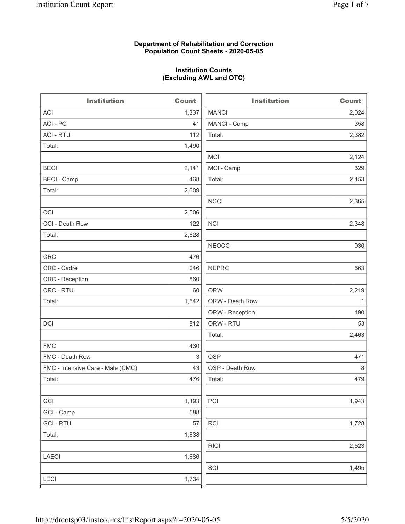# **Department of Rehabilitation and Correction Population Count Sheets - 2020-05-05**

# **Institution Counts (Excluding AWL and OTC)**

. .

| <b>Institution</b>                | <b>Count</b>              | <b>Institution</b> | Count        |
|-----------------------------------|---------------------------|--------------------|--------------|
| <b>ACI</b>                        | 1,337                     | <b>MANCI</b>       | 2,024        |
| ACI-PC                            | 41                        | MANCI - Camp       | 358          |
| <b>ACI - RTU</b>                  | 112                       | Total:             | 2,382        |
| Total:                            | 1,490                     |                    |              |
|                                   |                           | MCI                | 2,124        |
| <b>BECI</b>                       | 2,141                     | MCI - Camp         | 329          |
| <b>BECI - Camp</b>                | 468                       | Total:             | 2,453        |
| Total:                            | 2,609                     |                    |              |
|                                   |                           | <b>NCCI</b>        | 2,365        |
| CCI                               | 2,506                     |                    |              |
| CCI - Death Row                   | 122                       | <b>NCI</b>         | 2,348        |
| Total:                            | 2,628                     |                    |              |
|                                   |                           | <b>NEOCC</b>       | 930          |
| <b>CRC</b>                        | 476                       |                    |              |
| CRC - Cadre                       | 246                       | <b>NEPRC</b>       | 563          |
| <b>CRC</b> - Reception            | 860                       |                    |              |
| CRC - RTU                         | 60                        | <b>ORW</b>         | 2,219        |
| Total:                            | 1,642                     | ORW - Death Row    | $\mathbf{1}$ |
|                                   |                           | ORW - Reception    | 190          |
| DCI                               | 812                       | ORW - RTU          | 53           |
|                                   |                           | Total:             | 2,463        |
| <b>FMC</b>                        | 430                       |                    |              |
| FMC - Death Row                   | $\ensuremath{\mathsf{3}}$ | <b>OSP</b>         | 471          |
| FMC - Intensive Care - Male (CMC) | 43                        | OSP - Death Row    | 8            |
| Total:                            | 476                       | Total:             | 479          |
|                                   |                           |                    |              |
| GCI                               | 1,193                     | PCI                | 1,943        |
| GCI - Camp                        | 588                       |                    |              |
| <b>GCI-RTU</b>                    | 57                        | <b>RCI</b>         | 1,728        |
| Total:                            | 1,838                     |                    |              |
|                                   |                           | <b>RICI</b>        | 2,523        |
| <b>LAECI</b>                      | 1,686                     |                    |              |
|                                   |                           | SCI                | 1,495        |
| <b>LECI</b>                       | 1,734                     |                    |              |
|                                   |                           |                    |              |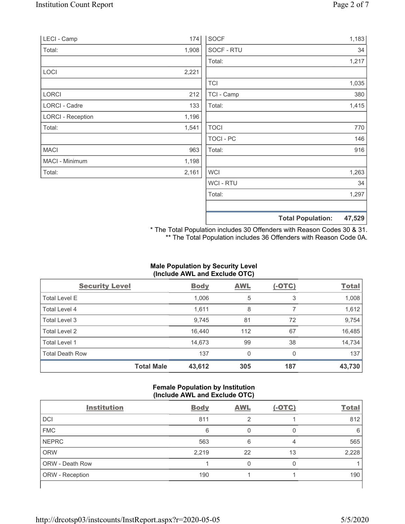| LECI - Camp              | 174   | <b>SOCF</b>    |                          | 1,183  |
|--------------------------|-------|----------------|--------------------------|--------|
| Total:                   | 1,908 | SOCF - RTU     |                          | 34     |
|                          |       | Total:         |                          | 1,217  |
| <b>LOCI</b>              | 2,221 |                |                          |        |
|                          |       | <b>TCI</b>     |                          | 1,035  |
| <b>LORCI</b>             | 212   | TCI - Camp     |                          | 380    |
| LORCI - Cadre            | 133   | Total:         |                          | 1,415  |
| <b>LORCI - Reception</b> | 1,196 |                |                          |        |
| Total:                   | 1,541 | <b>TOCI</b>    |                          | 770    |
|                          |       | TOCI - PC      |                          | 146    |
| <b>MACI</b>              | 963   | Total:         |                          | 916    |
| MACI - Minimum           | 1,198 |                |                          |        |
| Total:                   | 2,161 | <b>WCI</b>     |                          | 1,263  |
|                          |       | <b>WCI-RTU</b> |                          | 34     |
|                          |       | Total:         |                          | 1,297  |
|                          |       |                | <b>Total Population:</b> | 47,529 |

\* The Total Population includes 30 Offenders with Reason Codes 30 & 31. \*\* The Total Population includes 36 Offenders with Reason Code 0A.

# **Male Population by Security Level (Include AWL and Exclude OTC)**

| <b>Security Level</b>  |                   | <b>Body</b> | <b>AWL</b> | $(-OTC)$ | <b>Total</b> |
|------------------------|-------------------|-------------|------------|----------|--------------|
| <b>Total Level E</b>   |                   | 1,006       | 5          | 3        | 1,008        |
| Total Level 4          |                   | 1,611       | 8          |          | 1,612        |
| Total Level 3          |                   | 9,745       | 81         | 72       | 9,754        |
| Total Level 2          |                   | 16,440      | 112        | 67       | 16,485       |
| Total Level 1          |                   | 14,673      | 99         | 38       | 14,734       |
| <b>Total Death Row</b> |                   | 137         | 0          | $\Omega$ | 137          |
|                        | <b>Total Male</b> | 43,612      | 305        | 187      | 43,730       |

# **Female Population by Institution (Include AWL and Exclude OTC)**

| <b>Institution</b>     | <b>Body</b> | <b>AWL</b> | $(-OTC)$ | <b>Total</b> |
|------------------------|-------------|------------|----------|--------------|
| <b>DCI</b>             | 811         | っ          |          | 812          |
| <b>FMC</b>             | 6           |            |          | 6            |
| <b>NEPRC</b>           | 563         | 6          | 4        | 565          |
| <b>ORW</b>             | 2,219       | 22         | 13       | 2,228        |
| <b>ORW - Death Row</b> |             |            |          |              |
| ORW - Reception        | 190         |            |          | 190          |
|                        |             |            |          |              |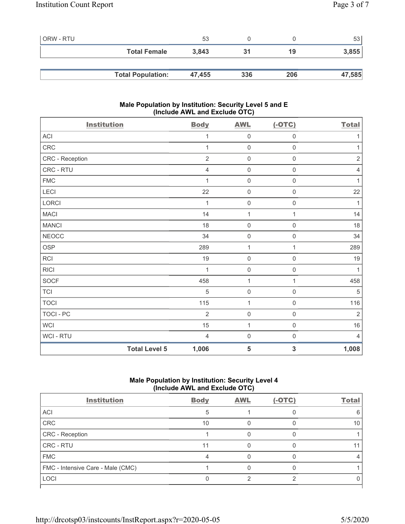| l ORW - RTU |                          | 53     |     |     | 53     |
|-------------|--------------------------|--------|-----|-----|--------|
|             | <b>Total Female</b>      | 3,843  | 31  | 19  | 3,855  |
|             |                          |        |     |     |        |
|             | <b>Total Population:</b> | 47,455 | 336 | 206 | 47,585 |

# **Male Population by Institution: Security Level 5 and E (Include AWL and Exclude OTC)**

| <b>Institution</b>   | <b>Body</b>    | <b>AWL</b>          | $(-OTC)$                | <b>Total</b>   |
|----------------------|----------------|---------------------|-------------------------|----------------|
| ACI                  | 1              | $\mathbf 0$         | $\mathsf{O}\xspace$     | $\mathbf{1}$   |
| CRC                  | 1              | $\mathbf 0$         | $\mathsf{O}\xspace$     | $\mathbf{1}$   |
| CRC - Reception      | $\overline{2}$ | $\mathbf 0$         | $\mathbf 0$             | $\sqrt{2}$     |
| CRC - RTU            | $\overline{4}$ | $\mathsf{O}\xspace$ | $\mathsf{O}\xspace$     | $\overline{4}$ |
| ${\sf FMC}$          | 1              | $\mathbf 0$         | $\mathsf{O}\xspace$     | $\mathbf{1}$   |
| LECI                 | 22             | $\mathbf 0$         | $\mathsf{O}\xspace$     | 22             |
| LORCI                | 1              | $\mathbf 0$         | $\mathsf{O}\xspace$     | 1              |
| <b>MACI</b>          | 14             | $\mathbf{1}$        | 1                       | 14             |
| <b>MANCI</b>         | 18             | $\mathbf 0$         | $\mathsf{O}\xspace$     | 18             |
| <b>NEOCC</b>         | 34             | $\mathbf 0$         | $\mathbf 0$             | 34             |
| OSP                  | 289            | $\mathbf{1}$        | 1                       | 289            |
| RCI                  | $19$           | $\mathbf 0$         | $\mathbf 0$             | $19$           |
| <b>RICI</b>          | 1              | $\mathbf 0$         | $\mathbf 0$             | $\mathbf{1}$   |
| SOCF                 | 458            | $\mathbf{1}$        | 1                       | 458            |
| <b>TCI</b>           | $\sqrt{5}$     | $\mathbf 0$         | $\mathsf 0$             | $\sqrt{5}$     |
| <b>TOCI</b>          | 115            | $\mathbf{1}$        | $\mathsf{O}\xspace$     | 116            |
| TOCI - PC            | $\overline{2}$ | $\mathbf 0$         | $\mathsf 0$             | $\overline{2}$ |
| <b>WCI</b>           | 15             | $\mathbf{1}$        | $\mathsf{O}\xspace$     | $16$           |
| WCI - RTU            | $\overline{4}$ | $\mathbf 0$         | 0                       | $\overline{4}$ |
| <b>Total Level 5</b> | 1,006          | 5                   | $\overline{\mathbf{3}}$ | 1,008          |

# **Male Population by Institution: Security Level 4 (Include AWL and Exclude OTC)**

| <b>Institution</b>                | <b>Body</b> | <b>AWL</b> | $(-OTC)$ | <b>Total</b> |
|-----------------------------------|-------------|------------|----------|--------------|
| ACI                               |             |            |          |              |
| CRC                               | 10          |            |          | 10           |
| CRC - Reception                   |             |            |          |              |
| CRC - RTU                         | 11          |            |          |              |
| <b>FMC</b>                        |             |            |          |              |
| FMC - Intensive Care - Male (CMC) |             |            |          |              |
| LOCI                              |             |            |          |              |
|                                   |             |            |          |              |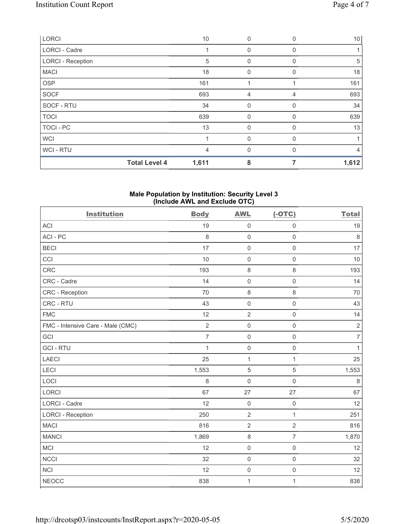| LORCI                    |                      | 10    | 0              | 0        | 10 <sup>1</sup> |
|--------------------------|----------------------|-------|----------------|----------|-----------------|
| <b>LORCI - Cadre</b>     |                      |       | 0              | $\Omega$ |                 |
| <b>LORCI - Reception</b> |                      | 5     | 0              | $\Omega$ | 5               |
| <b>MACI</b>              |                      | 18    | $\Omega$       | $\Omega$ | 18              |
| <b>OSP</b>               |                      | 161   |                |          | 161             |
| SOCF                     |                      | 693   | $\overline{4}$ | 4        | 693             |
| SOCF - RTU               |                      | 34    | 0              | 0        | 34              |
| <b>TOCI</b>              |                      | 639   | $\mathbf 0$    | 0        | 639             |
| TOCI - PC                |                      | 13    | $\mathbf 0$    | 0        | 13              |
| <b>WCI</b>               |                      |       | $\mathbf 0$    | $\Omega$ | 1               |
| WCI - RTU                |                      | 4     | $\Omega$       | $\Omega$ | $\overline{4}$  |
|                          | <b>Total Level 4</b> | 1,611 | 8              |          | 1,612           |

#### **Male Population by Institution: Security Level 3 (Include AWL and Exclude OTC)**

| <b>Institution</b>                | <b>Body</b>    | <b>AWL</b>          | $(-OTC)$            | <b>Total</b>   |
|-----------------------------------|----------------|---------------------|---------------------|----------------|
| <b>ACI</b>                        | 19             | $\mathsf{O}\xspace$ | $\mathsf{O}\xspace$ | 19             |
| ACI-PC                            | 8              | $\mathsf 0$         | $\mathbf 0$         | $\,8\,$        |
| <b>BECI</b>                       | 17             | $\mathbf 0$         | $\mathsf{O}\xspace$ | 17             |
| CCI                               | 10             | $\mathsf{O}\xspace$ | $\mathbf 0$         | 10             |
| <b>CRC</b>                        | 193            | $\,8\,$             | 8                   | 193            |
| CRC - Cadre                       | 14             | $\mathbf 0$         | $\mathbf 0$         | 14             |
| CRC - Reception                   | 70             | $\,8\,$             | 8                   | 70             |
| CRC - RTU                         | 43             | $\mathsf{O}\xspace$ | $\mathbf 0$         | 43             |
| <b>FMC</b>                        | 12             | $\overline{2}$      | $\mathbf 0$         | 14             |
| FMC - Intensive Care - Male (CMC) | $\overline{2}$ | $\mathsf{O}\xspace$ | $\mathbf 0$         | $\sqrt{2}$     |
| GCI                               | $\overline{7}$ | $\mathbf 0$         | $\mathbf 0$         | $\overline{7}$ |
| <b>GCI-RTU</b>                    | $\mathbf{1}$   | $\mathsf 0$         | $\mathbf 0$         | $\mathbf{1}$   |
| <b>LAECI</b>                      | 25             | $\mathbf{1}$        | $\mathbf{1}$        | 25             |
| LECI                              | 1,553          | $\sqrt{5}$          | 5                   | 1,553          |
| LOCI                              | 8              | $\mathbf 0$         | $\mathbf 0$         | $\,8\,$        |
| LORCI                             | 67             | 27                  | 27                  | 67             |
| LORCI - Cadre                     | 12             | $\mathbf 0$         | $\mathsf{O}\xspace$ | 12             |
| <b>LORCI - Reception</b>          | 250            | $\overline{2}$      | $\mathbf{1}$        | 251            |
| <b>MACI</b>                       | 816            | $\overline{2}$      | $\overline{2}$      | 816            |
| <b>MANCI</b>                      | 1,869          | $\,8\,$             | $\overline{7}$      | 1,870          |
| <b>MCI</b>                        | 12             | $\mathbf 0$         | $\mathbf 0$         | 12             |
| <b>NCCI</b>                       | 32             | $\mathbf 0$         | $\mathbf 0$         | 32             |
| <b>NCI</b>                        | 12             | $\mathsf{O}\xspace$ | $\mathsf{O}\xspace$ | 12             |
| <b>NEOCC</b>                      | 838            | $\mathbf{1}$        | 1                   | 838            |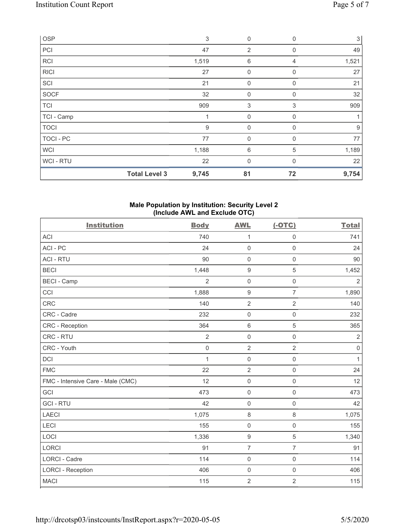| OSP         |                      | 3     | $\mathbf 0$    | 0           | $\mathbf{3}$ |
|-------------|----------------------|-------|----------------|-------------|--------------|
| PCI         |                      | 47    | $\overline{2}$ | 0           | 49           |
| <b>RCI</b>  |                      | 1,519 | $\,6$          | 4           | 1,521        |
| <b>RICI</b> |                      | 27    | $\mathbf 0$    | $\mathbf 0$ | 27           |
| SCI         |                      | 21    | $\mathbf 0$    | $\Omega$    | 21           |
| SOCF        |                      | 32    | $\mathbf 0$    | $\mathbf 0$ | 32           |
| <b>TCI</b>  |                      | 909   | $\sqrt{3}$     | 3           | 909          |
| TCI - Camp  |                      |       | $\mathbf 0$    | 0           |              |
| <b>TOCI</b> |                      | $9\,$ | 0              | 0           | 9            |
| TOCI - PC   |                      | 77    | $\mathbf 0$    | $\Omega$    | 77           |
| <b>WCI</b>  |                      | 1,188 | 6              | 5           | 1,189        |
| WCI-RTU     |                      | 22    | $\mathbf 0$    | $\Omega$    | 22           |
|             | <b>Total Level 3</b> | 9,745 | 81             | 72          | 9,754        |

### **Male Population by Institution: Security Level 2 (Include AWL and Exclude OTC)**

| <b>Institution</b>                | <b>Body</b>    | <b>AWL</b>          | $(-OTC)$            | <b>Total</b> |
|-----------------------------------|----------------|---------------------|---------------------|--------------|
| <b>ACI</b>                        | 740            | 1                   | $\mathsf{O}\xspace$ | 741          |
| ACI-PC                            | 24             | $\mathbf 0$         | $\mathsf 0$         | 24           |
| <b>ACI - RTU</b>                  | 90             | $\mathbf 0$         | $\mathsf{O}\xspace$ | 90           |
| <b>BECI</b>                       | 1,448          | $\boldsymbol{9}$    | $\sqrt{5}$          | 1,452        |
| <b>BECI - Camp</b>                | $\overline{2}$ | $\mathsf{O}\xspace$ | $\mathsf{O}\xspace$ | $\sqrt{2}$   |
| CCI                               | 1,888          | $\boldsymbol{9}$    | $\overline{7}$      | 1,890        |
| <b>CRC</b>                        | 140            | $\overline{2}$      | $\overline{2}$      | 140          |
| CRC - Cadre                       | 232            | $\mathbf 0$         | $\mathbf 0$         | 232          |
| <b>CRC</b> - Reception            | 364            | $6\,$               | $\overline{5}$      | 365          |
| CRC - RTU                         | $\overline{2}$ | $\mathbf 0$         | $\mathbf 0$         | $\sqrt{2}$   |
| CRC - Youth                       | $\mathsf 0$    | $\overline{2}$      | $\overline{2}$      | $\mathbf 0$  |
| DCI                               | 1              | $\mathbf 0$         | $\mathbf 0$         | 1            |
| <b>FMC</b>                        | 22             | $\overline{2}$      | $\mathbf 0$         | 24           |
| FMC - Intensive Care - Male (CMC) | 12             | $\mathbf 0$         | $\mathbf 0$         | 12           |
| GCI                               | 473            | $\mathbf 0$         | $\mathbf 0$         | 473          |
| <b>GCI-RTU</b>                    | 42             | $\mathbf 0$         | $\mathsf{O}\xspace$ | 42           |
| <b>LAECI</b>                      | 1,075          | $\,8\,$             | 8                   | 1,075        |
| LECI                              | 155            | $\mathbf 0$         | $\mathsf{O}\xspace$ | 155          |
| LOCI                              | 1,336          | $\boldsymbol{9}$    | $\sqrt{5}$          | 1,340        |
| <b>LORCI</b>                      | 91             | $\overline{7}$      | $\overline{7}$      | 91           |
| <b>LORCI - Cadre</b>              | 114            | $\mathbf 0$         | $\mathsf{O}\xspace$ | 114          |
| <b>LORCI - Reception</b>          | 406            | $\mathbf 0$         | $\mathbf 0$         | 406          |
| <b>MACI</b>                       | 115            | $\overline{2}$      | $\overline{2}$      | 115          |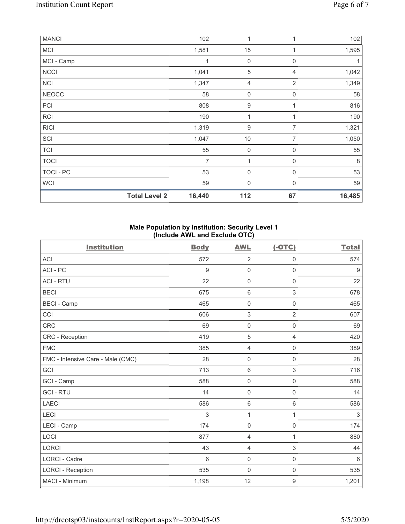| <b>MANCI</b> |                      | 102    | 1                | 1                | 102     |
|--------------|----------------------|--------|------------------|------------------|---------|
| <b>MCI</b>   |                      | 1,581  | 15               | 1                | 1,595   |
| MCI - Camp   |                      |        | 0                | 0                | 1       |
| <b>NCCI</b>  |                      | 1,041  | $\mathbf 5$      | 4                | 1,042   |
| <b>NCI</b>   |                      | 1,347  | 4                | $\overline{2}$   | 1,349   |
| <b>NEOCC</b> |                      | 58     | $\mathbf 0$      | $\boldsymbol{0}$ | 58      |
| PCI          |                      | 808    | 9                |                  | 816     |
| <b>RCI</b>   |                      | 190    | 1                | 1                | 190     |
| <b>RICI</b>  |                      | 1,319  | 9                | 7                | 1,321   |
| SCI          |                      | 1,047  | 10               | $\overline{7}$   | 1,050   |
| TCI          |                      | 55     | $\boldsymbol{0}$ | 0                | 55      |
| <b>TOCI</b>  |                      | 7      | 1                | $\mathbf 0$      | $\,8\,$ |
| TOCI - PC    |                      | 53     | $\boldsymbol{0}$ | $\mathbf 0$      | 53      |
| <b>WCI</b>   |                      | 59     | $\mathbf 0$      | $\Omega$         | 59      |
|              | <b>Total Level 2</b> | 16,440 | 112              | 67               | 16,485  |

# **Male Population by Institution: Security Level 1 (Include AWL and Exclude OTC)**

| <b>Institution</b>                | <b>Body</b>     | <b>AWL</b>          | $(-OTC)$       | <b>Total</b> |
|-----------------------------------|-----------------|---------------------|----------------|--------------|
| <b>ACI</b>                        | 572             | $\overline{2}$      | $\mathbf 0$    | 574          |
| ACI-PC                            | 9               | $\mathbf 0$         | $\mathsf 0$    | $9\,$        |
| <b>ACI - RTU</b>                  | 22              | $\mathbf 0$         | $\mathbf 0$    | 22           |
| <b>BECI</b>                       | 675             | $\,6\,$             | 3              | 678          |
| <b>BECI - Camp</b>                | 465             | $\mathsf{O}\xspace$ | 0              | 465          |
| CCI                               | 606             | $\sqrt{3}$          | $\overline{2}$ | 607          |
| <b>CRC</b>                        | 69              | $\mathbf 0$         | $\mathsf 0$    | 69           |
| CRC - Reception                   | 419             | $\sqrt{5}$          | $\overline{4}$ | 420          |
| <b>FMC</b>                        | 385             | $\overline{4}$      | $\mathbf 0$    | 389          |
| FMC - Intensive Care - Male (CMC) | 28              | $\mathbf 0$         | $\mathsf 0$    | 28           |
| GCI                               | 713             | $\,6\,$             | 3              | 716          |
| GCI - Camp                        | 588             | $\mathsf{O}\xspace$ | $\mathsf 0$    | 588          |
| <b>GCI-RTU</b>                    | 14              | $\mathbf 0$         | $\mathbf 0$    | 14           |
| <b>LAECI</b>                      | 586             | $\,6\,$             | 6              | 586          |
| LECI                              | 3               | $\mathbf{1}$        | 1              | 3            |
| LECI - Camp                       | 174             | $\mathbf 0$         | $\mathbf 0$    | 174          |
| LOCI                              | 877             | $\overline{4}$      | $\mathbf{1}$   | 880          |
| <b>LORCI</b>                      | 43              | 4                   | 3              | 44           |
| <b>LORCI - Cadre</b>              | $6\phantom{1}6$ | $\mathbf 0$         | $\mathbf 0$    | 6            |
| <b>LORCI - Reception</b>          | 535             | $\mathsf{O}\xspace$ | $\mathsf 0$    | 535          |
| MACI - Minimum                    | 1,198           | 12                  | $\mathsf g$    | 1,201        |